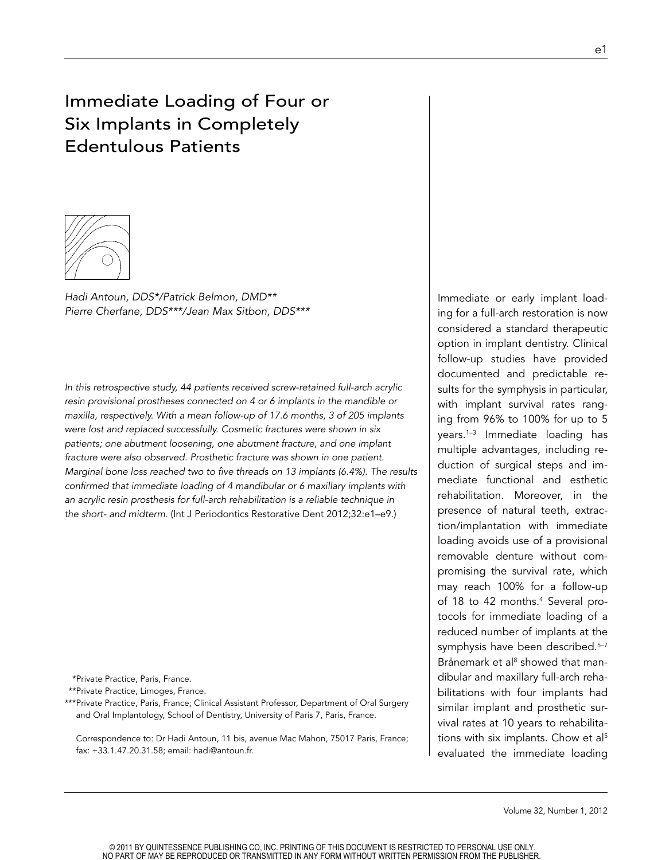# Immediate Loading of Four or Six Implants in Completely Edentulous Patients



*Hadi Antoun, DDS\*/Patrick Belmon, DMD\*\* Pierre Cherfane, DDS\*\*\*/Jean Max Sitbon, DDS\*\*\** 

*In this retrospective study, 44 patients received screw-retained full-arch acrylic resin provisional prostheses connected on 4 or 6 implants in the mandible or maxilla, respectively. With a mean follow-up of 17.6 months, 3 of 205 implants were lost and replaced successfully. Cosmetic fractures were shown in six patients; one abutment loosening, one abutment fracture, and one implant fracture were also observed. Prosthetic fracture was shown in one patient. Marginal bone loss reached two to five threads on 13 implants (6.4%). The results confirmed that immediate loading of 4 mandibular or 6 maxillary implants with*  an acrylic resin prosthesis for full-arch rehabilitation is a reliable technique in *the short- and midterm.* (Int J Periodontics Restorative Dent 2012;32:e1–e9.)

\*Private Practice, Paris, France.

\*\*Private Practice, Limoges, France.

\*\*\*Private Practice, Paris, France; Clinical Assistant Professor, Department of Oral Surgery and Oral Implantology, School of Dentistry, University of Paris 7, Paris, France.

Correspondence to: Dr Hadi Antoun, 11 bis, avenue Mac Mahon, 75017 Paris, France; fax: +33.1.47.20.31.58; email: hadi@antoun.fr.

Immediate or early implant loading for a full-arch restoration is now considered a standard therapeutic option in implant dentistry. Clinical follow-up studies have provided documented and predictable results for the symphysis in particular, with implant survival rates ranging from 96% to 100% for up to 5 years.1–3 Immediate loading has multiple advantages, including reduction of surgical steps and immediate functional and esthetic rehabilitation. Moreover, in the presence of natural teeth, extraction/implantation with immediate loading avoids use of a provisional removable denture without compromising the survival rate, which may reach 100% for a follow-up of 18 to 42 months.<sup>4</sup> Several protocols for immediate loading of a reduced number of implants at the symphysis have been described.<sup>5-7</sup> Brånemark et al<sup>8</sup> showed that mandibular and maxillary full-arch rehabilitations with four implants had similar implant and prosthetic survival rates at 10 years to rehabilitations with six implants. Chow et al<sup>5</sup> evaluated the immediate loading

Volume 32, Number 1, 2012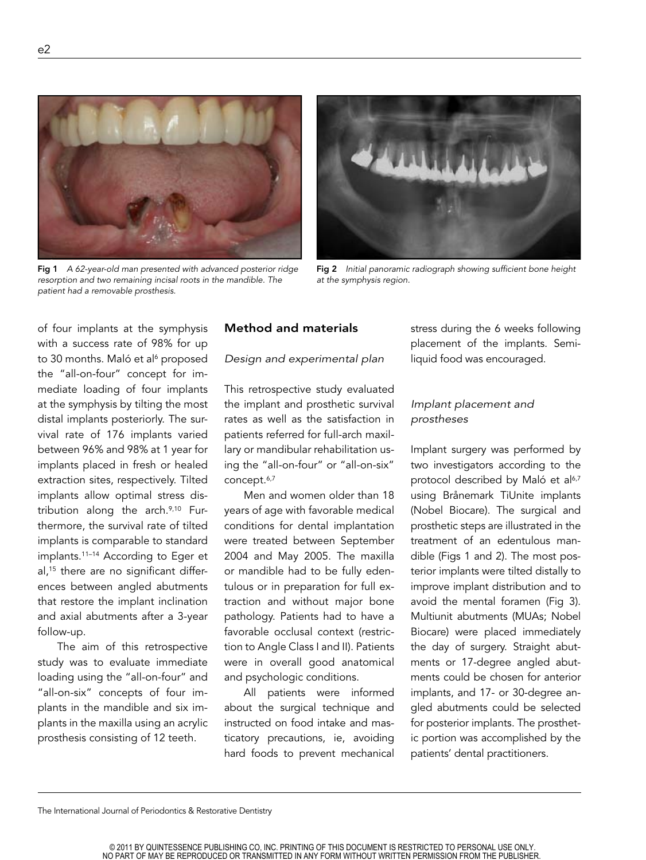

Fig 1 *A 62-year-old man presented with advanced posterior ridge resorption and two remaining incisal roots in the mandible. The patient had a removable prosthesis.*



Fig 2 *Initial panoramic radiograph showing sufficient bone height at the symphysis region.* 

of four implants at the symphysis with a success rate of 98% for up to 30 months. Maló et al<sup>6</sup> proposed the "all-on-four" concept for immediate loading of four implants at the symphysis by tilting the most distal implants posteriorly. The survival rate of 176 implants varied between 96% and 98% at 1 year for implants placed in fresh or healed extraction sites, respectively. Tilted implants allow optimal stress distribution along the arch.<sup>9,10</sup> Furthermore, the survival rate of tilted implants is comparable to standard implants.11–14 According to Eger et al,15 there are no significant differences between angled abutments that restore the implant inclination and axial abutments after a 3-year follow-up.

The aim of this retrospective study was to evaluate immediate loading using the "all-on-four" and "all-on-six" concepts of four implants in the mandible and six implants in the maxilla using an acrylic prosthesis consisting of 12 teeth.

## Method and materials

#### *Design and experimental plan*

This retrospective study evaluated the implant and prosthetic survival rates as well as the satisfaction in patients referred for full-arch maxillary or mandibular rehabilitation using the "all-on-four" or "all-on-six" concept.<sup>6,7</sup>

Men and women older than 18 years of age with favorable medical conditions for dental implantation were treated between September 2004 and May 2005. The maxilla or mandible had to be fully edentulous or in preparation for full extraction and without major bone pathology. Patients had to have a favorable occlusal context (restriction to Angle Class I and II). Patients were in overall good anatomical and psychologic conditions.

All patients were informed about the surgical technique and instructed on food intake and masticatory precautions, ie, avoiding hard foods to prevent mechanical

stress during the 6 weeks following placement of the implants. Semiliquid food was encouraged.

# *Implant placement and prostheses*

Implant surgery was performed by two investigators according to the protocol described by Maló et al<sup>6,7</sup> using Brånemark TiUnite implants (Nobel Biocare). The surgical and prosthetic steps are illustrated in the treatment of an edentulous mandible (Figs 1 and 2). The most posterior implants were tilted distally to improve implant distribution and to avoid the mental foramen (Fig 3). Multiunit abutments (MUAs; Nobel Biocare) were placed immediately the day of surgery. Straight abutments or 17-degree angled abutments could be chosen for anterior implants, and 17- or 30-degree angled abutments could be selected for posterior implants. The prosthetic portion was accomplished by the patients' dental practitioners.

The International Journal of Periodontics & Restorative Dentistry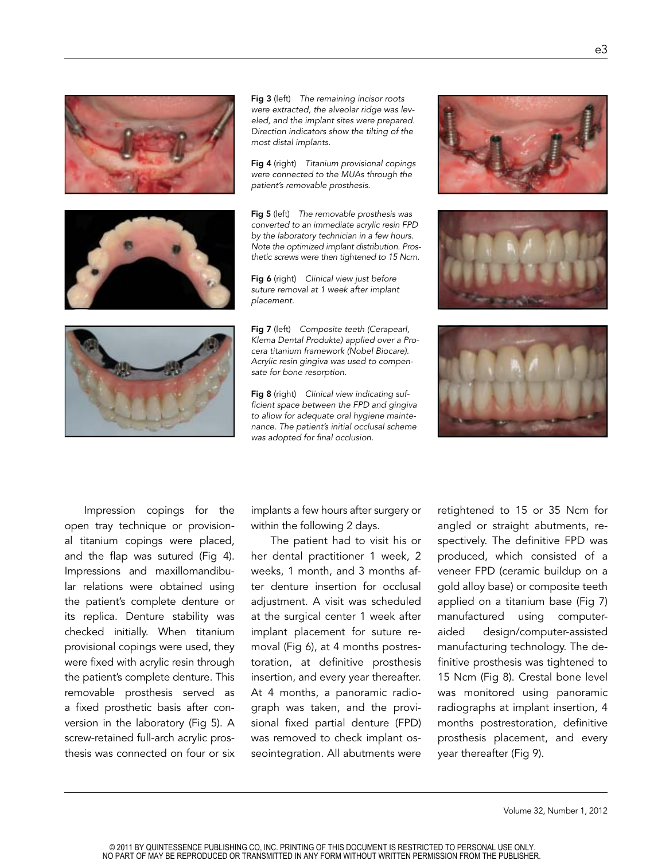

Fig 3 (left) *The remaining incisor roots were extracted, the alveolar ridge was leveled, and the implant sites were prepared. Direction indicators show the tilting of the most distal implants.* 

Fig 4 (right) *Titanium provisional copings were connected to the MUAs through the patient's removable prosthesis.*

Fig 5 (left) *The removable prosthesis was converted to an immediate acrylic resin FPD by the laboratory technician in a few hours. Note the optimized implant distribution. Prosthetic screws were then tightened to 15 Ncm.*

Fig 6 (right) *Clinical view just before suture removal at 1 week after implant placement.*

Fig 7 (left) *Composite teeth (Cerapearl, Klema Dental Produkte) applied over a Procera titanium framework (Nobel Biocare). Acrylic resin gingiva was used to compensate for bone resorption.* 

Fig 8 (right) *Clinical view indicating sufficient space between the FPD and gingiva to allow for adequate oral hygiene maintenance. The patient's initial occlusal scheme was adopted for final occlusion.*







Impression copings for the open tray technique or provisional titanium copings were placed, and the flap was sutured (Fig 4). Impressions and maxillomandibular relations were obtained using the patient's complete denture or its replica. Denture stability was checked initially. When titanium provisional copings were used, they were fixed with acrylic resin through the patient's complete denture. This removable prosthesis served as a fixed prosthetic basis after conversion in the laboratory (Fig 5). A screw-retained full-arch acrylic prosthesis was connected on four or six

implants a few hours after surgery or within the following 2 days.

The patient had to visit his or her dental practitioner 1 week, 2 weeks, 1 month, and 3 months after denture insertion for occlusal adjustment. A visit was scheduled at the surgical center 1 week after implant placement for suture removal (Fig 6), at 4 months postrestoration, at definitive prosthesis insertion, and every year thereafter. At 4 months, a panoramic radiograph was taken, and the provisional fixed partial denture (FPD) was removed to check implant osseointegration. All abutments were

retightened to 15 or 35 Ncm for angled or straight abutments, respectively. The definitive FPD was produced, which consisted of a veneer FPD (ceramic buildup on a gold alloy base) or composite teeth applied on a titanium base (Fig 7) manufactured using computeraided design/computer-assisted manufacturing technology. The definitive prosthesis was tightened to 15 Ncm (Fig 8). Crestal bone level was monitored using panoramic radiographs at implant insertion, 4 months postrestoration, definitive prosthesis placement, and every year thereafter (Fig 9).

© 2011 BY QUINTESSENCE PUBLISHING CO, INC. PRINTING OF THIS DOCUMENT IS RESTRICTED TO PERSONAL USE ONLY. NO PART OF MAY BE REPRODUCED OR TRANSMITTED IN ANY FORM WITHOUT WRITTEN PERMISSION FROM THE PUBLISHER.

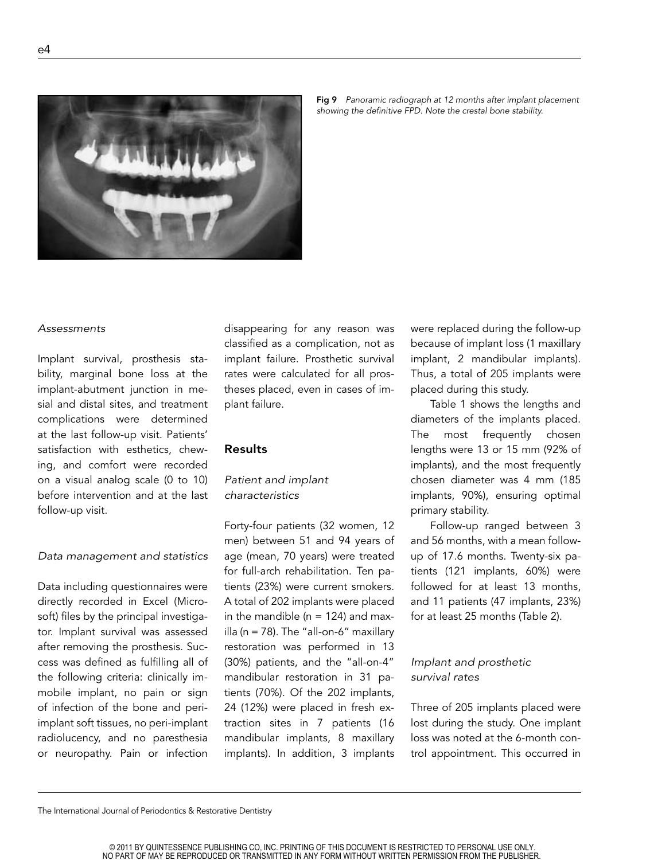

Fig 9 *Panoramic radiograph at 12 months after implant placement showing the definitive FPD. Note the crestal bone stability.* 

#### *Assessments*

Implant survival, prosthesis stability, marginal bone loss at the implant-abutment junction in mesial and distal sites, and treatment complications were determined at the last follow-up visit. Patients' satisfaction with esthetics, chewing, and comfort were recorded on a visual analog scale (0 to 10) before intervention and at the last follow-up visit.

#### *Data management and statistics*

Data including questionnaires were directly recorded in Excel (Microsoft) files by the principal investigator. Implant survival was assessed after removing the prosthesis. Success was defined as fulfilling all of the following criteria: clinically immobile implant, no pain or sign of infection of the bone and periimplant soft tissues, no peri-implant radiolucency, and no paresthesia or neuropathy. Pain or infection

disappearing for any reason was classified as a complication, not as implant failure. Prosthetic survival rates were calculated for all prostheses placed, even in cases of implant failure.

#### Results

# *Patient and implant characteristics*

Forty-four patients (32 women, 12 men) between 51 and 94 years of age (mean, 70 years) were treated for full-arch rehabilitation. Ten patients (23%) were current smokers. A total of 202 implants were placed in the mandible ( $n = 124$ ) and maxilla (n = 78). The "all-on-6" maxillary restoration was performed in 13 (30%) patients, and the "all-on-4" mandibular restoration in 31 patients (70%). Of the 202 implants, 24 (12%) were placed in fresh extraction sites in 7 patients (16 mandibular implants, 8 maxillary implants). In addition, 3 implants

were replaced during the follow-up because of implant loss (1 maxillary implant, 2 mandibular implants). Thus, a total of 205 implants were placed during this study.

Table 1 shows the lengths and diameters of the implants placed. The most frequently chosen lengths were 13 or 15 mm (92% of implants), and the most frequently chosen diameter was 4 mm (185 implants, 90%), ensuring optimal primary stability.

Follow-up ranged between 3 and 56 months, with a mean followup of 17.6 months. Twenty-six patients (121 implants, 60%) were followed for at least 13 months, and 11 patients (47 implants, 23%) for at least 25 months (Table 2).

# *Implant and prosthetic survival rates*

Three of 205 implants placed were lost during the study. One implant loss was noted at the 6-month control appointment. This occurred in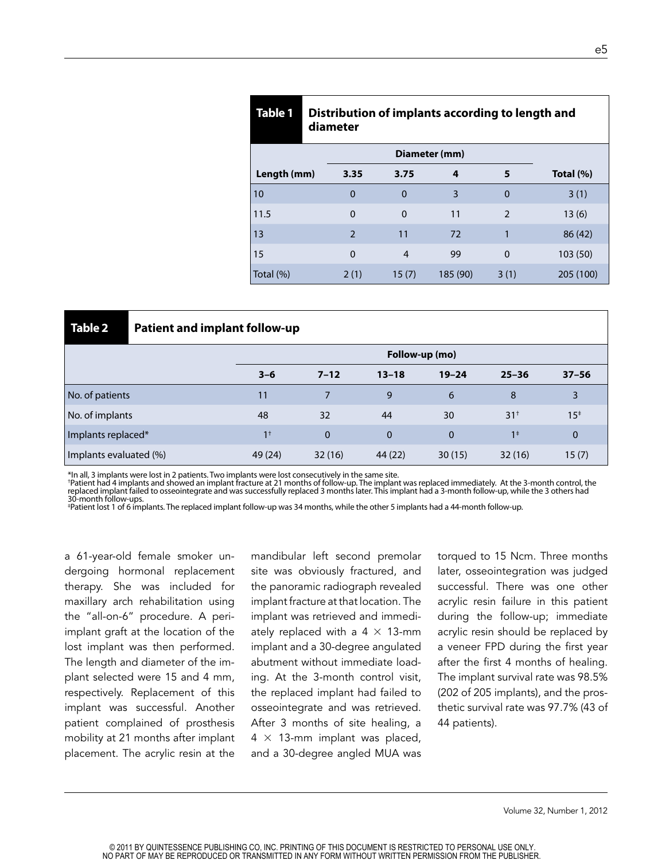| Table 1       | Distribution of implants according to length and<br>diameter |                |              |          |                |              |  |
|---------------|--------------------------------------------------------------|----------------|--------------|----------|----------------|--------------|--|
| Diameter (mm) |                                                              |                |              |          |                |              |  |
| Length (mm)   |                                                              | 3.35           | 3.75         | 4        | 5              | Total $(\%)$ |  |
| 10            |                                                              | $\mathbf 0$    | $\Omega$     | 3        | $\mathbf{0}$   | 3(1)         |  |
| 11.5          |                                                              | $\Omega$       | $\mathbf{0}$ | 11       | $\overline{2}$ | 13(6)        |  |
| 13            |                                                              | $\overline{2}$ | 11           | 72       |                | 86 (42)      |  |
| 15            |                                                              | $\Omega$       | 4            | 99       | $\mathbf{0}$   | 103 (50)     |  |
| Total (%)     |                                                              | 2(1)           | 15(7)        | 185 (90) | 3(1)           | 205 (100)    |  |

| Table 2                | <b>Patient and implant follow-up</b> |                |          |           |              |                 |             |
|------------------------|--------------------------------------|----------------|----------|-----------|--------------|-----------------|-------------|
|                        |                                      | Follow-up (mo) |          |           |              |                 |             |
|                        |                                      | $3 - 6$        | $7 - 12$ | $13 - 18$ | $19 - 24$    | $25 - 36$       | $37 - 56$   |
| No. of patients        |                                      | 11             |          | 9         | 6            | 8               | 3           |
| No. of implants        |                                      | 48             | 32       | 44        | 30           | 31 <sup>†</sup> | $15*$       |
| Implants replaced*     |                                      | 1 <sup>†</sup> | 0        | $\Omega$  | $\mathbf{0}$ | 1 <sup>‡</sup>  | $\mathbf 0$ |
| Implants evaluated (%) |                                      | 49 (24)        | 32(16)   | 44 (22)   | 30(15)       | 32(16)          | 15(7)       |

\*In all, 3 implants were lost in 2 patients. Two implants were lost consecutively in the same site.

†Patient had 4 implants and showed an implant fracture at 21 months of follow-up. The implant was replaced immediately. At the 3-month control, the<br>replaced implant failed to osseointegrate and was successfully replaced 3 30-month follow-ups.

‡ Patient lost 1 of 6 implants. The replaced implant follow-up was 34 months, while the other 5 implants had a 44-month follow-up.

a 61-year-old female smoker undergoing hormonal replacement therapy. She was included for maxillary arch rehabilitation using the "all-on-6" procedure. A periimplant graft at the location of the lost implant was then performed. The length and diameter of the implant selected were 15 and 4 mm, respectively. Replacement of this implant was successful. Another patient complained of prosthesis mobility at 21 months after implant placement. The acrylic resin at the

mandibular left second premolar site was obviously fractured, and the panoramic radiograph revealed implant fracture at that location. The implant was retrieved and immediately replaced with a  $4 \times 13$ -mm implant and a 30-degree angulated abutment without immediate loading. At the 3-month control visit, the replaced implant had failed to osseointegrate and was retrieved. After 3 months of site healing, a  $4 \times 13$ -mm implant was placed, and a 30-degree angled MUA was

torqued to 15 Ncm. Three months later, osseointegration was judged successful. There was one other acrylic resin failure in this patient during the follow-up; immediate acrylic resin should be replaced by a veneer FPD during the first year after the first 4 months of healing. The implant survival rate was 98.5% (202 of 205 implants), and the prosthetic survival rate was 97.7% (43 of 44 patients).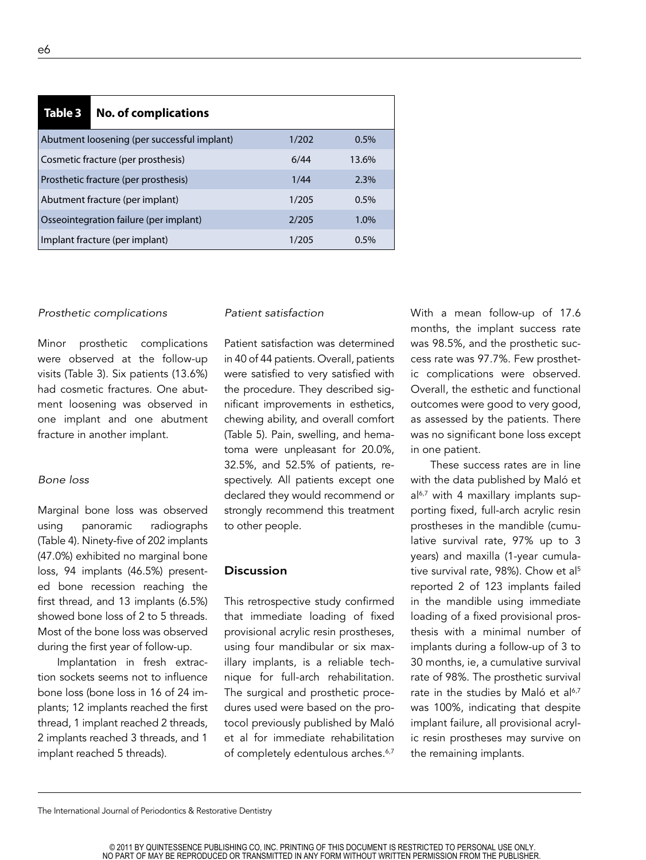| Table 3                                                 | <b>No. of complications</b>                 |       |      |  |  |
|---------------------------------------------------------|---------------------------------------------|-------|------|--|--|
|                                                         | Abutment loosening (per successful implant) | 1/202 | 0.5% |  |  |
| Cosmetic fracture (per prosthesis)<br>6/44<br>13.6%     |                                             |       |      |  |  |
| Prosthetic fracture (per prosthesis)<br>2.3%<br>1/44    |                                             |       |      |  |  |
| Abutment fracture (per implant)                         | 1/205                                       | 0.5%  |      |  |  |
| Osseointegration failure (per implant)<br>2/205<br>1.0% |                                             |       |      |  |  |
|                                                         | Implant fracture (per implant)              | 1/205 | 0.5% |  |  |

#### *Prosthetic complications*

Minor prosthetic complications were observed at the follow-up visits (Table 3). Six patients (13.6%) had cosmetic fractures. One abutment loosening was observed in one implant and one abutment fracture in another implant.

### *Bone loss*

Marginal bone loss was observed using panoramic radiographs (Table 4). Ninety-five of 202 implants (47.0%) exhibited no marginal bone loss, 94 implants (46.5%) presented bone recession reaching the first thread, and 13 implants (6.5%) showed bone loss of 2 to 5 threads. Most of the bone loss was observed during the first year of follow-up.

Implantation in fresh extraction sockets seems not to influence bone loss (bone loss in 16 of 24 implants; 12 implants reached the first thread, 1 implant reached 2 threads, 2 implants reached 3 threads, and 1 implant reached 5 threads).

## *Patient satisfaction*

Patient satisfaction was determined in 40 of 44 patients. Overall, patients were satisfied to very satisfied with the procedure. They described significant improvements in esthetics, chewing ability, and overall comfort (Table 5). Pain, swelling, and hematoma were unpleasant for 20.0%, 32.5%, and 52.5% of patients, respectively. All patients except one declared they would recommend or strongly recommend this treatment to other people.

#### Discussion

This retrospective study confirmed that immediate loading of fixed provisional acrylic resin prostheses, using four mandibular or six maxillary implants, is a reliable technique for full-arch rehabilitation. The surgical and prosthetic procedures used were based on the protocol previously published by Maló et al for immediate rehabilitation of completely edentulous arches.<sup>6,7</sup>

With a mean follow-up of 17.6 months, the implant success rate was 98.5%, and the prosthetic success rate was 97.7%. Few prosthetic complications were observed. Overall, the esthetic and functional outcomes were good to very good, as assessed by the patients. There was no significant bone loss except in one patient.

These success rates are in line with the data published by Maló et  $a^{6,7}$  with 4 maxillary implants supporting fixed, full-arch acrylic resin prostheses in the mandible (cumulative survival rate, 97% up to 3 years) and maxilla (1-year cumulative survival rate, 98%). Chow et al<sup>5</sup> reported 2 of 123 implants failed in the mandible using immediate loading of a fixed provisional prosthesis with a minimal number of implants during a follow-up of 3 to 30 months, ie, a cumulative survival rate of 98%. The prosthetic survival rate in the studies by Maló et al<sup>6,7</sup> was 100%, indicating that despite implant failure, all provisional acrylic resin prostheses may survive on the remaining implants.

e6

The International Journal of Periodontics & Restorative Dentistry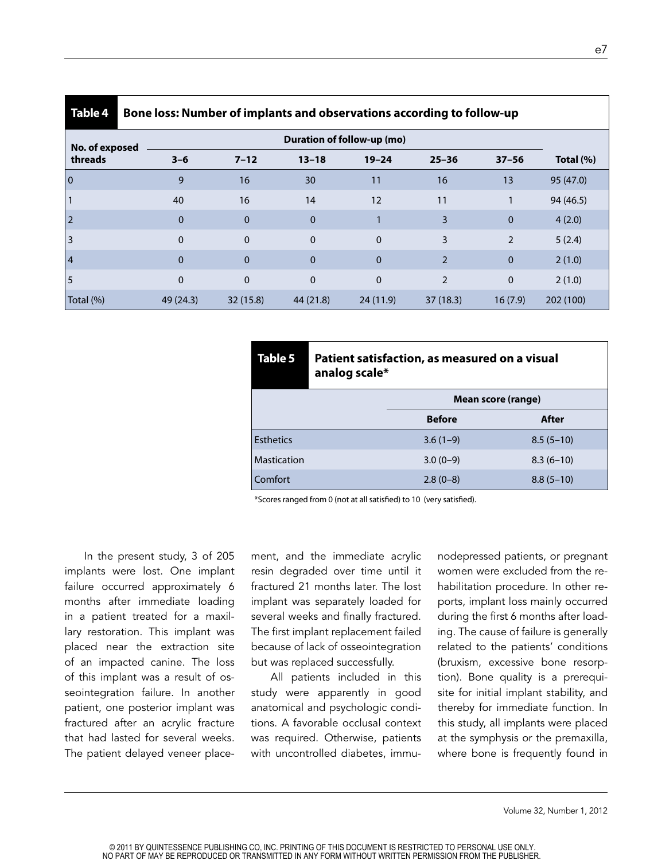| Table 4        | Bone loss: Number of implants and observations according to follow-up |                            |              |              |                |                |              |
|----------------|-----------------------------------------------------------------------|----------------------------|--------------|--------------|----------------|----------------|--------------|
| No. of exposed |                                                                       | Duration of follow-up (mo) |              |              |                |                |              |
| threads        | $3 - 6$                                                               | $7 - 12$                   | $13 - 18$    | $19 - 24$    | $25 - 36$      | $37 - 56$      | Total $(\%)$ |
| $\overline{0}$ | 9                                                                     | 16                         | 30           | 11           | 16             | 13             | 95 (47.0)    |
|                | 40                                                                    | 16                         | 14           | 12           | 11             |                | 94 (46.5)    |
| $\overline{2}$ | $\mathbf 0$                                                           | $\mathbf 0$                | $\mathbf 0$  |              | 3              | $\mathbf{0}$   | 4(2.0)       |
| 3              | $\mathbf 0$                                                           | $\mathbf 0$                | $\mathbf 0$  | $\mathbf 0$  | 3              | $\overline{2}$ | 5(2.4)       |
| $\vert 4$      | $\overline{0}$                                                        | $\Omega$                   | $\mathbf{0}$ | $\Omega$     | $\overline{2}$ | $\mathbf{0}$   | 2(1.0)       |
| 5              | $\mathbf{0}$                                                          | $\mathbf{0}$               | $\mathbf 0$  | $\mathbf{0}$ | $\overline{2}$ | $\mathbf 0$    | 2(1.0)       |
| Total (%)      | 49 (24.3)                                                             | 32 (15.8)                  | 44 (21.8)    | 24(11.9)     | 37(18.3)       | 16(7.9)        | 202 (100)    |

| Table 5          | Patient satisfaction, as measured on a visual<br>analog scale* |                    |             |  |  |  |
|------------------|----------------------------------------------------------------|--------------------|-------------|--|--|--|
|                  |                                                                | Mean score (range) |             |  |  |  |
|                  |                                                                | <b>Before</b>      | After       |  |  |  |
| <b>Esthetics</b> |                                                                | $3.6(1-9)$         | $8.5(5-10)$ |  |  |  |
| Mastication      |                                                                | $3.0(0-9)$         | $8.3(6-10)$ |  |  |  |
| Comfort          |                                                                | $2.8(0-8)$         | $8.8(5-10)$ |  |  |  |

\*Scores ranged from 0 (not at all satisfied) to 10 (very satisfied).

In the present study, 3 of 205 implants were lost. One implant failure occurred approximately 6 months after immediate loading in a patient treated for a maxillary restoration. This implant was placed near the extraction site of an impacted canine. The loss of this implant was a result of osseointegration failure. In another patient, one posterior implant was fractured after an acrylic fracture that had lasted for several weeks. The patient delayed veneer placement, and the immediate acrylic resin degraded over time until it fractured 21 months later. The lost implant was separately loaded for several weeks and finally fractured. The first implant replacement failed because of lack of osseointegration but was replaced successfully.

All patients included in this study were apparently in good anatomical and psychologic conditions. A favorable occlusal context was required. Otherwise, patients with uncontrolled diabetes, immu-

nodepressed patients, or pregnant women were excluded from the rehabilitation procedure. In other reports, implant loss mainly occurred during the first 6 months after loading. The cause of failure is generally related to the patients' conditions (bruxism, excessive bone resorption). Bone quality is a prerequisite for initial implant stability, and thereby for immediate function. In this study, all implants were placed at the symphysis or the premaxilla, where bone is frequently found in

© 2011 BY QUINTESSENCE PUBLISHING CO, INC. PRINTING OF THIS DOCUMENT IS RESTRICTED TO PERSONAL USE ONLY. NO PART OF MAY BE REPRODUCED OR TRANSMITTED IN ANY FORM WITHOUT WRITTEN PERMISSION FROM THE PUBLISHER.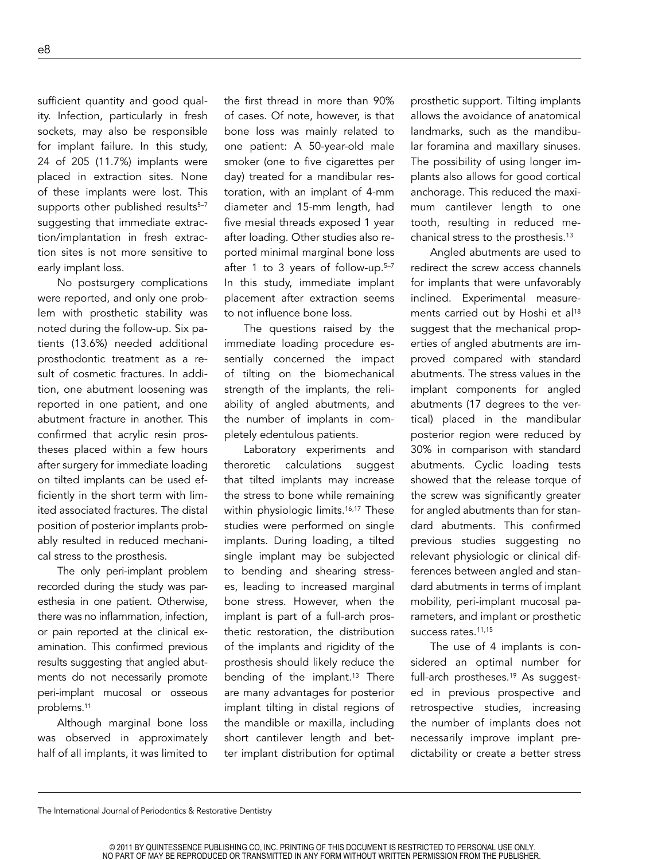sufficient quantity and good quality. Infection, particularly in fresh sockets, may also be responsible for implant failure. In this study, 24 of 205 (11.7%) implants were placed in extraction sites. None of these implants were lost. This supports other published results<sup>5-7</sup> suggesting that immediate extraction/implantation in fresh extraction sites is not more sensitive to early implant loss.

No postsurgery complications were reported, and only one problem with prosthetic stability was noted during the follow-up. Six patients (13.6%) needed additional prosthodontic treatment as a result of cosmetic fractures. In addition, one abutment loosening was reported in one patient, and one abutment fracture in another. This confirmed that acrylic resin prostheses placed within a few hours after surgery for immediate loading on tilted implants can be used efficiently in the short term with limited associated fractures. The distal position of posterior implants probably resulted in reduced mechanical stress to the prosthesis.

The only peri-implant problem recorded during the study was paresthesia in one patient. Otherwise, there was no inflammation, infection, or pain reported at the clinical examination. This confirmed previous results suggesting that angled abutments do not necessarily promote peri-implant mucosal or osseous problems.11

Although marginal bone loss was observed in approximately half of all implants, it was limited to

the first thread in more than 90% of cases. Of note, however, is that bone loss was mainly related to one patient: A 50-year-old male smoker (one to five cigarettes per day) treated for a mandibular restoration, with an implant of 4-mm diameter and 15-mm length, had five mesial threads exposed 1 year after loading. Other studies also reported minimal marginal bone loss after 1 to 3 years of follow-up.<sup>5-7</sup> In this study, immediate implant placement after extraction seems to not influence bone loss.

The questions raised by the immediate loading procedure essentially concerned the impact of tilting on the biomechanical strength of the implants, the reliability of angled abutments, and the number of implants in completely edentulous patients.

Laboratory experiments and theroretic calculations suggest that tilted implants may increase the stress to bone while remaining within physiologic limits.<sup>16,17</sup> These studies were performed on single implants. During loading, a tilted single implant may be subjected to bending and shearing stresses, leading to increased marginal bone stress. However, when the implant is part of a full-arch prosthetic restoration, the distribution of the implants and rigidity of the prosthesis should likely reduce the bending of the implant.<sup>13</sup> There are many advantages for posterior implant tilting in distal regions of the mandible or maxilla, including short cantilever length and better implant distribution for optimal

prosthetic support. Tilting implants allows the avoidance of anatomical landmarks, such as the mandibular foramina and maxillary sinuses. The possibility of using longer implants also allows for good cortical anchorage. This reduced the maximum cantilever length to one tooth, resulting in reduced mechanical stress to the prosthesis.13

Angled abutments are used to redirect the screw access channels for implants that were unfavorably inclined. Experimental measurements carried out by Hoshi et al<sup>18</sup> suggest that the mechanical properties of angled abutments are improved compared with standard abutments. The stress values in the implant components for angled abutments (17 degrees to the vertical) placed in the mandibular posterior region were reduced by 30% in comparison with standard abutments. Cyclic loading tests showed that the release torque of the screw was significantly greater for angled abutments than for standard abutments. This confirmed previous studies suggesting no relevant physiologic or clinical differences between angled and standard abutments in terms of implant mobility, peri-implant mucosal parameters, and implant or prosthetic success rates.<sup>11,15</sup>

The use of 4 implants is considered an optimal number for full-arch prostheses.<sup>19</sup> As suggested in previous prospective and retrospective studies, increasing the number of implants does not necessarily improve implant predictability or create a better stress

The International Journal of Periodontics & Restorative Dentistry